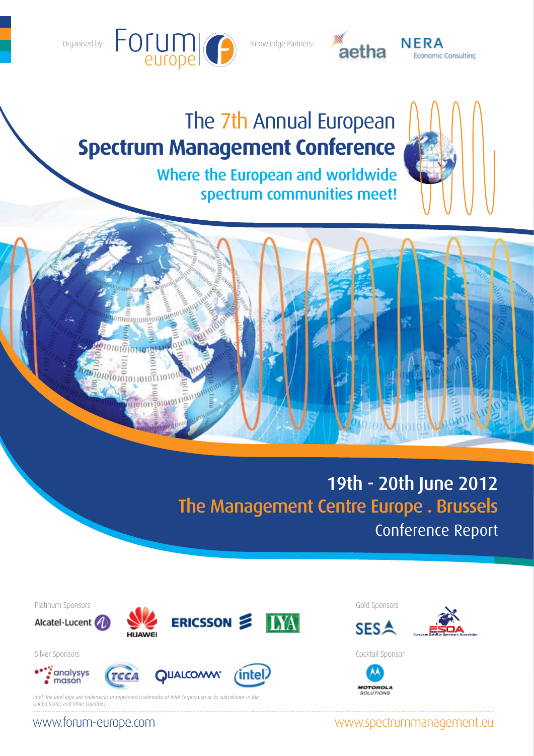

Knowledge Partners:



NERA **Economic Consultinc** 

# Where the European and worldwide spectrum communities meet! The 7th Annual European **Spectrum Management Conference**



# 19th - 20th June 2012 The Management Centre Europe . Brussels Conference Report

www.spectrummanagement.eu



www.forum-europe.com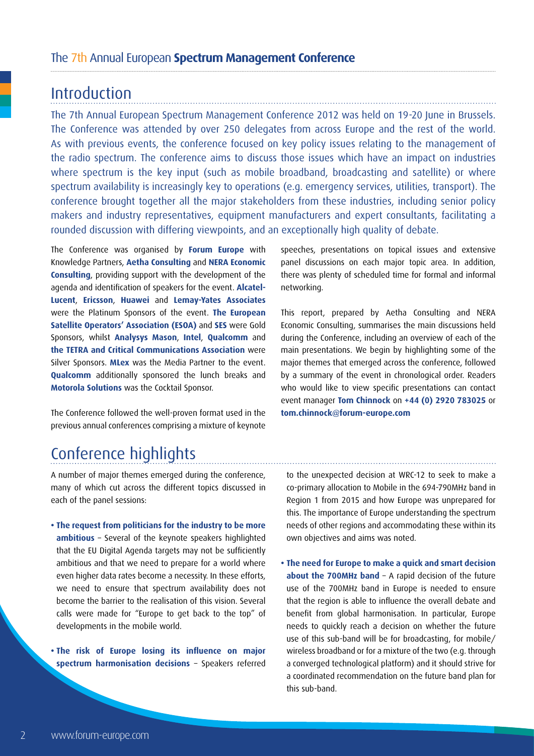## **Introduction**

The 7th Annual European Spectrum Management Conference 2012 was held on 19-20 June in Brussels. The Conference was attended by over 250 delegates from across Europe and the rest of the world. As with previous events, the conference focused on key policy issues relating to the management of the radio spectrum. The conference aims to discuss those issues which have an impact on industries where spectrum is the key input (such as mobile broadband, broadcasting and satellite) or where spectrum availability is increasingly key to operations (e.g. emergency services, utilities, transport). The conference brought together all the major stakeholders from these industries, including senior policy makers and industry representatives, equipment manufacturers and expert consultants, facilitating a rounded discussion with differing viewpoints, and an exceptionally high quality of debate.

The Conference was organised by **Forum Europe** with Knowledge Partners, **Aetha Consulting** and **NERA Economic Consulting**, providing support with the development of the agenda and identification of speakers for the event. **Alcatel-Lucent**, **Ericsson**, **Huawei** and **Lemay-Yates Associates** were the Platinum Sponsors of the event. **The European Satellite Operators' Association (ESOA)** and **SES** were Gold Sponsors, whilst **Analysys Mason**, **Intel**, **Qualcomm** and **the TETRA and Critical Communications Association** were Silver Sponsors. **MLex** was the Media Partner to the event. **Qualcomm** additionally sponsored the lunch breaks and **Motorola Solutions** was the Cocktail Sponsor.

The Conference followed the well-proven format used in the previous annual conferences comprising a mixture of keynote

speeches, presentations on topical issues and extensive panel discussions on each major topic area. In addition, there was plenty of scheduled time for formal and informal networking.

This report, prepared by Aetha Consulting and NERA Economic Consulting, summarises the main discussions held during the Conference, including an overview of each of the main presentations. We begin by highlighting some of the major themes that emerged across the conference, followed by a summary of the event in chronological order. Readers who would like to view specific presentations can contact event manager **Tom Chinnock** on **+44 (0) 2920 783025** or **tom.chinnock@forum-europe.com**

## Conference highlights

A number of major themes emerged during the conference, many of which cut across the different topics discussed in each of the panel sessions:

**• The request from politicians for the industry to be more ambitious** – Several of the keynote speakers highlighted that the EU Digital Agenda targets may not be sufficiently ambitious and that we need to prepare for a world where even higher data rates become a necessity. In these efforts, we need to ensure that spectrum availability does not become the barrier to the realisation of this vision. Several calls were made for "Europe to get back to the top" of developments in the mobile world.

**• The risk of Europe losing its influence on major spectrum harmonisation decisions** – Speakers referred to the unexpected decision at WRC-12 to seek to make a co-primary allocation to Mobile in the 694-790MHz band in Region 1 from 2015 and how Europe was unprepared for this. The importance of Europe understanding the spectrum needs of other regions and accommodating these within its own objectives and aims was noted.

**• The need for Europe to make a quick and smart decision about the 700MHz band** – A rapid decision of the future use of the 700MHz band in Europe is needed to ensure that the region is able to influence the overall debate and benefit from global harmonisation. In particular, Europe needs to quickly reach a decision on whether the future use of this sub-band will be for broadcasting, for mobile/ wireless broadband or for a mixture of the two (e.g. through a converged technological platform) and it should strive for a coordinated recommendation on the future band plan for this sub-band.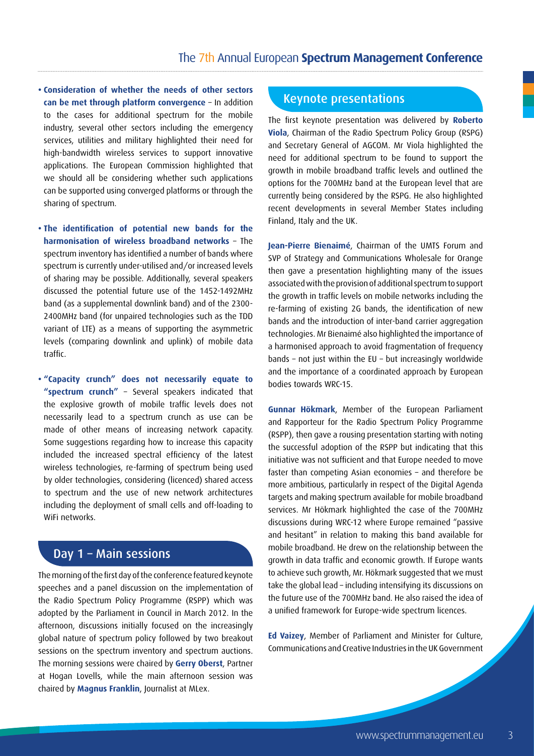**• Consideration of whether the needs of other sectors can be met through platform convergence** – In addition to the cases for additional spectrum for the mobile industry, several other sectors including the emergency services, utilities and military highlighted their need for high-bandwidth wireless services to support innovative applications. The European Commission highlighted that we should all be considering whether such applications can be supported using converged platforms or through the sharing of spectrum.

**• The identification of potential new bands for the harmonisation of wireless broadband networks** – The spectrum inventory has identified a number of bands where spectrum is currently under-utilised and/or increased levels of sharing may be possible. Additionally, several speakers discussed the potential future use of the 1452-1492MHz band (as a supplemental downlink band) and of the 2300- 2400MHz band (for unpaired technologies such as the TDD variant of LTE) as a means of supporting the asymmetric levels (comparing downlink and uplink) of mobile data traffic.

**• "Capacity crunch" does not necessarily equate to "spectrum crunch"** – Several speakers indicated that the explosive growth of mobile traffic levels does not necessarily lead to a spectrum crunch as use can be made of other means of increasing network capacity. Some suggestions regarding how to increase this capacity included the increased spectral efficiency of the latest wireless technologies, re-farming of spectrum being used by older technologies, considering (licenced) shared access to spectrum and the use of new network architectures including the deployment of small cells and off-loading to WiFi networks.

## Day 1 – Main sessions

The morning of the first day of the conference featured keynote speeches and a panel discussion on the implementation of the Radio Spectrum Policy Programme (RSPP) which was adopted by the Parliament in Council in March 2012. In the afternoon, discussions initially focused on the increasingly global nature of spectrum policy followed by two breakout sessions on the spectrum inventory and spectrum auctions. The morning sessions were chaired by **Gerry Oberst**, Partner at Hogan Lovells, while the main afternoon session was chaired by **Magnus Franklin**, Journalist at MLex.

#### Keynote presentations

The first keynote presentation was delivered by **Roberto Viola**, Chairman of the Radio Spectrum Policy Group (RSPG) and Secretary General of AGCOM. Mr Viola highlighted the need for additional spectrum to be found to support the growth in mobile broadband traffic levels and outlined the options for the 700MHz band at the European level that are currently being considered by the RSPG. He also highlighted recent developments in several Member States including Finland, Italy and the UK.

**Jean-Pierre Bienaimé**, Chairman of the UMTS Forum and SVP of Strategy and Communications Wholesale for Orange then gave a presentation highlighting many of the issues associated with the provision of additional spectrum to support the growth in traffic levels on mobile networks including the re-farming of existing 2G bands, the identification of new bands and the introduction of inter-band carrier aggregation technologies. Mr Bienaimé also highlighted the importance of a harmonised approach to avoid fragmentation of frequency bands – not just within the EU – but increasingly worldwide and the importance of a coordinated approach by European bodies towards WRC-15.

**Gunnar Hökmark**, Member of the European Parliament and Rapporteur for the Radio Spectrum Policy Programme (RSPP), then gave a rousing presentation starting with noting the successful adoption of the RSPP but indicating that this initiative was not sufficient and that Europe needed to move faster than competing Asian economies – and therefore be more ambitious, particularly in respect of the Digital Agenda targets and making spectrum available for mobile broadband services. Mr Hökmark highlighted the case of the 700MHz discussions during WRC-12 where Europe remained "passive and hesitant" in relation to making this band available for mobile broadband. He drew on the relationship between the growth in data traffic and economic growth. If Europe wants to achieve such growth, Mr. Hökmark suggested that we must take the global lead – including intensifying its discussions on the future use of the 700MHz band. He also raised the idea of a unified framework for Europe-wide spectrum licences.

**Ed Vaizey**, Member of Parliament and Minister for Culture, Communications and Creative Industries in the UK Government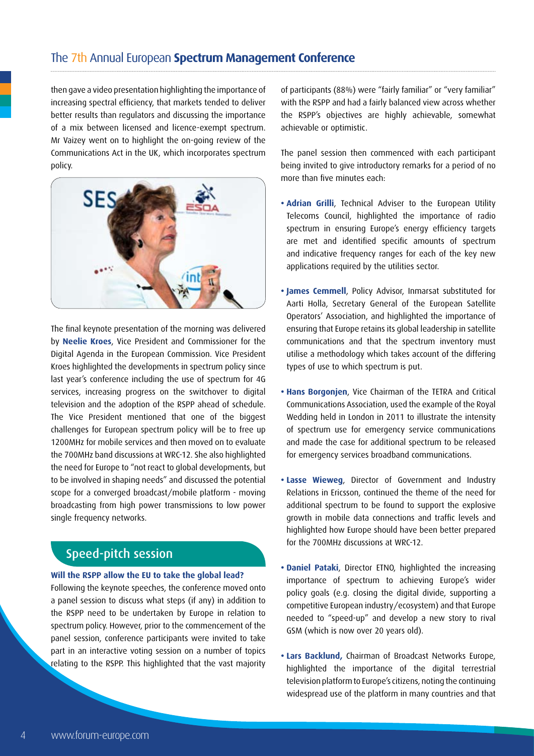then gave a video presentation highlighting the importance of increasing spectral efficiency, that markets tended to deliver better results than regulators and discussing the importance of a mix between licensed and licence-exempt spectrum. Mr Vaizey went on to highlight the on-going review of the Communications Act in the UK, which incorporates spectrum policy.



The final keynote presentation of the morning was delivered by **Neelie Kroes**, Vice President and Commissioner for the Digital Agenda in the European Commission. Vice President Kroes highlighted the developments in spectrum policy since last year's conference including the use of spectrum for 4G services, increasing progress on the switchover to digital television and the adoption of the RSPP ahead of schedule. The Vice President mentioned that one of the biggest challenges for European spectrum policy will be to free up 1200MHz for mobile services and then moved on to evaluate the 700MHz band discussions at WRC-12. She also highlighted the need for Europe to "not react to global developments, but to be involved in shaping needs" and discussed the potential scope for a converged broadcast/mobile platform - moving broadcasting from high power transmissions to low power single frequency networks.

## Speed-pitch session

#### **Will the RSPP allow the EU to take the global lead?**

Following the keynote speeches, the conference moved onto a panel session to discuss what steps (if any) in addition to the RSPP need to be undertaken by Europe in relation to spectrum policy. However, prior to the commencement of the panel session, conference participants were invited to take part in an interactive voting session on a number of topics relating to the RSPP. This highlighted that the vast majority

of participants (88%) were "fairly familiar" or "very familiar" with the RSPP and had a fairly balanced view across whether the RSPP's objectives are highly achievable, somewhat achievable or optimistic.

The panel session then commenced with each participant being invited to give introductory remarks for a period of no more than five minutes each:

- **Adrian Grilli**, Technical Adviser to the European Utility Telecoms Council, highlighted the importance of radio spectrum in ensuring Europe's energy efficiency targets are met and identified specific amounts of spectrum and indicative frequency ranges for each of the key new applications required by the utilities sector.
- **James Cemmell**, Policy Advisor, Inmarsat substituted for Aarti Holla, Secretary General of the European Satellite Operators' Association, and highlighted the importance of ensuring that Europe retains its global leadership in satellite communications and that the spectrum inventory must utilise a methodology which takes account of the differing types of use to which spectrum is put.
- **Hans Borgonjen**, Vice Chairman of the TETRA and Critical Communications Association, used the example of the Royal Wedding held in London in 2011 to illustrate the intensity of spectrum use for emergency service communications and made the case for additional spectrum to be released for emergency services broadband communications.
- **Lasse Wieweg**, Director of Government and Industry Relations in Ericsson, continued the theme of the need for additional spectrum to be found to support the explosive growth in mobile data connections and traffic levels and highlighted how Europe should have been better prepared for the 700MHz discussions at WRC-12.
- **Daniel Pataki**, Director ETNO, highlighted the increasing importance of spectrum to achieving Europe's wider policy goals (e.g. closing the digital divide, supporting a competitive European industry/ecosystem) and that Europe needed to "speed-up" and develop a new story to rival GSM (which is now over 20 years old).
- **Lars Backlund,** Chairman of Broadcast Networks Europe, highlighted the importance of the digital terrestrial television platform to Europe's citizens, noting the continuing widespread use of the platform in many countries and that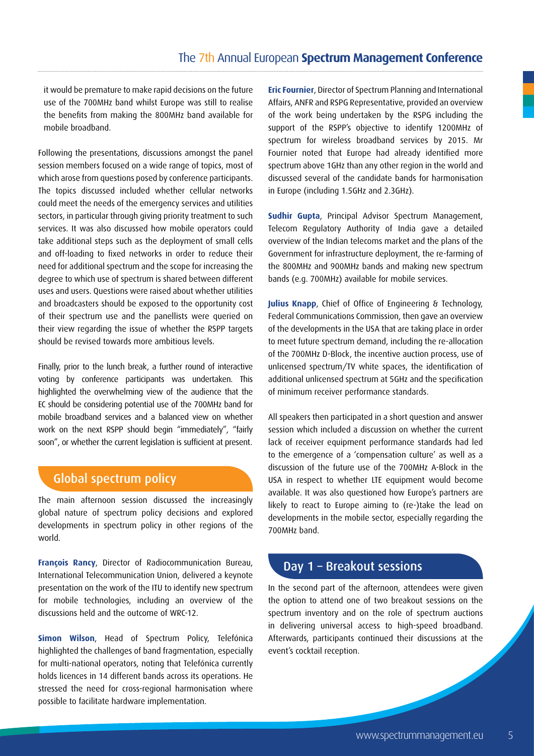it would be premature to make rapid decisions on the future use of the 700MHz band whilst Europe was still to realise the benefits from making the 800MHz band available for mobile broadband.

Following the presentations, discussions amongst the panel session members focused on a wide range of topics, most of which arose from questions posed by conference participants. The topics discussed included whether cellular networks could meet the needs of the emergency services and utilities sectors, in particular through giving priority treatment to such services. It was also discussed how mobile operators could take additional steps such as the deployment of small cells and off-loading to fixed networks in order to reduce their need for additional spectrum and the scope for increasing the degree to which use of spectrum is shared between different uses and users. Questions were raised about whether utilities and broadcasters should be exposed to the opportunity cost of their spectrum use and the panellists were queried on their view regarding the issue of whether the RSPP targets should be revised towards more ambitious levels.

Finally, prior to the lunch break, a further round of interactive voting by conference participants was undertaken. This highlighted the overwhelming view of the audience that the EC should be considering potential use of the 700MHz band for mobile broadband services and a balanced view on whether work on the next RSPP should begin "immediately", "fairly soon", or whether the current legislation is sufficient at present.

## Global spectrum policy

The main afternoon session discussed the increasingly global nature of spectrum policy decisions and explored developments in spectrum policy in other regions of the world.

**François Rancy**, Director of Radiocommunication Bureau, International Telecommunication Union, delivered a keynote presentation on the work of the ITU to identify new spectrum for mobile technologies, including an overview of the discussions held and the outcome of WRC-12.

**Simon Wilson**, Head of Spectrum Policy, Telefónica highlighted the challenges of band fragmentation, especially for multi-national operators, noting that Telefónica currently holds licences in 14 different bands across its operations. He stressed the need for cross-regional harmonisation where possible to facilitate hardware implementation.

**Eric Fournier**, Director of Spectrum Planning and International Affairs, ANFR and RSPG Representative, provided an overview of the work being undertaken by the RSPG including the support of the RSPP's objective to identify 1200MHz of spectrum for wireless broadband services by 2015. Mr Fournier noted that Europe had already identified more spectrum above 1GHz than any other region in the world and discussed several of the candidate bands for harmonisation in Europe (including 1.5GHz and 2.3GHz).

**Sudhir Gupta**, Principal Advisor Spectrum Management, Telecom Regulatory Authority of India gave a detailed overview of the Indian telecoms market and the plans of the Government for infrastructure deployment, the re-farming of the 800MHz and 900MHz bands and making new spectrum bands (e.g. 700MHz) available for mobile services.

**Julius Knapp**, Chief of Office of Engineering & Technology, Federal Communications Commission, then gave an overview of the developments in the USA that are taking place in order to meet future spectrum demand, including the re-allocation of the 700MHz D-Block, the incentive auction process, use of unlicensed spectrum/TV white spaces, the identification of additional unlicensed spectrum at 5GHz and the specification of minimum receiver performance standards.

All speakers then participated in a short question and answer session which included a discussion on whether the current lack of receiver equipment performance standards had led to the emergence of a 'compensation culture' as well as a discussion of the future use of the 700MHz A-Block in the USA in respect to whether LTE equipment would become available. It was also questioned how Europe's partners are likely to react to Europe aiming to (re-)take the lead on developments in the mobile sector, especially regarding the 700MHz band.

## Day 1 – Breakout sessions

In the second part of the afternoon, attendees were given the option to attend one of two breakout sessions on the spectrum inventory and on the role of spectrum auctions in delivering universal access to high-speed broadband. Afterwards, participants continued their discussions at the event's cocktail reception.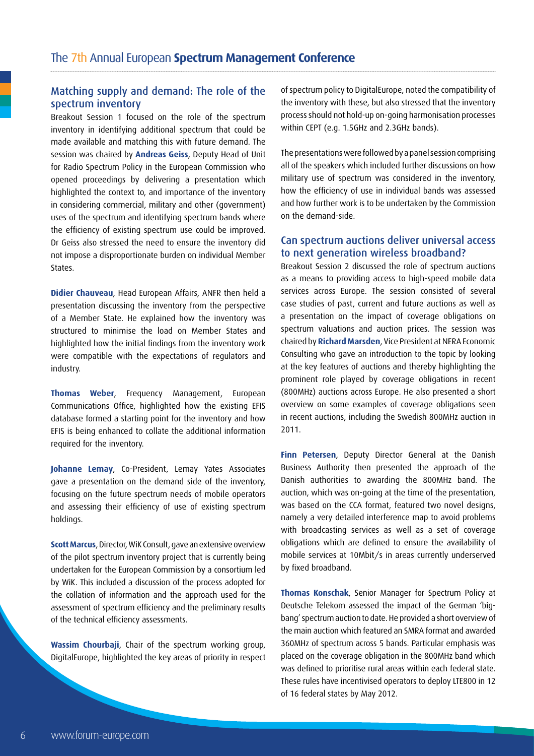#### Matching supply and demand: The role of the spectrum inventory

Breakout Session 1 focused on the role of the spectrum inventory in identifying additional spectrum that could be made available and matching this with future demand. The session was chaired by **Andreas Geiss**, Deputy Head of Unit for Radio Spectrum Policy in the European Commission who opened proceedings by delivering a presentation which highlighted the context to, and importance of the inventory in considering commercial, military and other (government) uses of the spectrum and identifying spectrum bands where the efficiency of existing spectrum use could be improved. Dr Geiss also stressed the need to ensure the inventory did not impose a disproportionate burden on individual Member States.

**Didier Chauveau**, Head European Affairs, ANFR then held a presentation discussing the inventory from the perspective of a Member State. He explained how the inventory was structured to minimise the load on Member States and highlighted how the initial findings from the inventory work were compatible with the expectations of regulators and industry.

**Thomas Weber**, Frequency Management, European Communications Office, highlighted how the existing EFIS database formed a starting point for the inventory and how EFIS is being enhanced to collate the additional information required for the inventory.

**Johanne Lemay**, Co-President, Lemay Yates Associates gave a presentation on the demand side of the inventory, focusing on the future spectrum needs of mobile operators and assessing their efficiency of use of existing spectrum holdings.

**Scott Marcus**, Director, WiK Consult, gave an extensive overview of the pilot spectrum inventory project that is currently being undertaken for the European Commission by a consortium led by WiK. This included a discussion of the process adopted for the collation of information and the approach used for the assessment of spectrum efficiency and the preliminary results of the technical efficiency assessments.

**Wassim Chourbaji**, Chair of the spectrum working group, DigitalEurope, highlighted the key areas of priority in respect of spectrum policy to DigitalEurope, noted the compatibility of the inventory with these, but also stressed that the inventory process should not hold-up on-going harmonisation processes within CEPT (e.g. 1.5GHz and 2.3GHz bands).

The presentations were followed by a panel session comprising all of the speakers which included further discussions on how military use of spectrum was considered in the inventory, how the efficiency of use in individual bands was assessed and how further work is to be undertaken by the Commission on the demand-side.

#### Can spectrum auctions deliver universal access to next generation wireless broadband?

Breakout Session 2 discussed the role of spectrum auctions as a means to providing access to high-speed mobile data services across Europe. The session consisted of several case studies of past, current and future auctions as well as a presentation on the impact of coverage obligations on spectrum valuations and auction prices. The session was chaired by **Richard Marsden**, Vice President at NERA Economic Consulting who gave an introduction to the topic by looking at the key features of auctions and thereby highlighting the prominent role played by coverage obligations in recent (800MHz) auctions across Europe. He also presented a short overview on some examples of coverage obligations seen in recent auctions, including the Swedish 800MHz auction in 2011.

**Finn Petersen**, Deputy Director General at the Danish Business Authority then presented the approach of the Danish authorities to awarding the 800MHz band. The auction, which was on-going at the time of the presentation, was based on the CCA format, featured two novel designs, namely a very detailed interference map to avoid problems with broadcasting services as well as a set of coverage obligations which are defined to ensure the availability of mobile services at 10Mbit/s in areas currently underserved by fixed broadband.

**Thomas Konschak**, Senior Manager for Spectrum Policy at Deutsche Telekom assessed the impact of the German 'bigbang' spectrum auction to date. He provided a short overview of the main auction which featured an SMRA format and awarded 360MHz of spectrum across 5 bands. Particular emphasis was placed on the coverage obligation in the 800MHz band which was defined to prioritise rural areas within each federal state. These rules have incentivised operators to deploy LTE800 in 12 of 16 federal states by May 2012.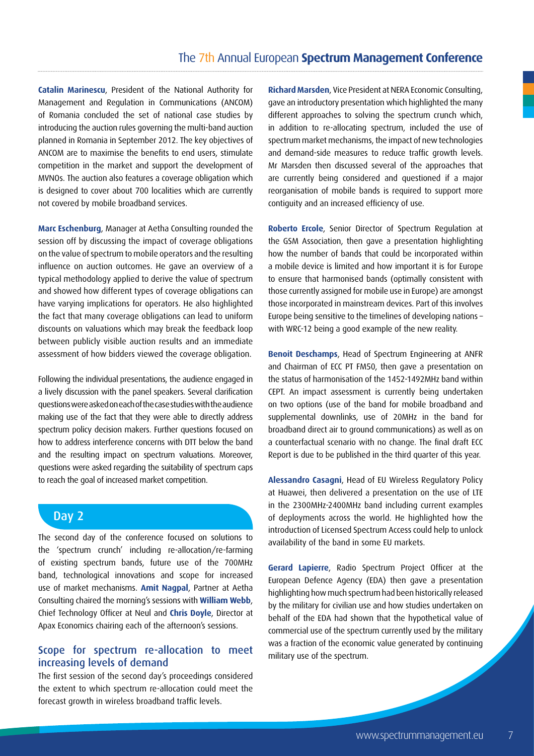**Catalin Marinescu**, President of the National Authority for Management and Regulation in Communications (ANCOM) of Romania concluded the set of national case studies by introducing the auction rules governing the multi-band auction planned in Romania in September 2012. The key objectives of ANCOM are to maximise the benefits to end users, stimulate competition in the market and support the development of MVNOs. The auction also features a coverage obligation which is designed to cover about 700 localities which are currently not covered by mobile broadband services.

**Marc Eschenburg**, Manager at Aetha Consulting rounded the session off by discussing the impact of coverage obligations on the value of spectrum to mobile operators and the resulting influence on auction outcomes. He gave an overview of a typical methodology applied to derive the value of spectrum and showed how different types of coverage obligations can have varying implications for operators. He also highlighted the fact that many coverage obligations can lead to uniform discounts on valuations which may break the feedback loop between publicly visible auction results and an immediate assessment of how bidders viewed the coverage obligation.

Following the individual presentations, the audience engaged in a lively discussion with the panel speakers. Several clarification questions were asked on each of the case studies with the audience making use of the fact that they were able to directly address spectrum policy decision makers. Further questions focused on how to address interference concerns with DTT below the band and the resulting impact on spectrum valuations. Moreover, questions were asked regarding the suitability of spectrum caps to reach the goal of increased market competition.

## Day 2

The second day of the conference focused on solutions to the 'spectrum crunch' including re-allocation/re-farming of existing spectrum bands, future use of the 700MHz band, technological innovations and scope for increased use of market mechanisms. **Amit Nagpal**, Partner at Aetha Consulting chaired the morning's sessions with **William Webb**, Chief Technology Officer at Neul and **Chris Doyle**, Director at Apax Economics chairing each of the afternoon's sessions.

#### Scope for spectrum re-allocation to meet increasing levels of demand

The first session of the second day's proceedings considered the extent to which spectrum re-allocation could meet the forecast growth in wireless broadband traffic levels.

**Richard Marsden**, Vice President at NERA Economic Consulting, gave an introductory presentation which highlighted the many different approaches to solving the spectrum crunch which, in addition to re-allocating spectrum, included the use of spectrum market mechanisms, the impact of new technologies and demand-side measures to reduce traffic growth levels. Mr Marsden then discussed several of the approaches that are currently being considered and questioned if a major reorganisation of mobile bands is required to support more contiguity and an increased efficiency of use.

**Roberto Ercole**, Senior Director of Spectrum Regulation at the GSM Association, then gave a presentation highlighting how the number of bands that could be incorporated within a mobile device is limited and how important it is for Europe to ensure that harmonised bands (optimally consistent with those currently assigned for mobile use in Europe) are amongst those incorporated in mainstream devices. Part of this involves Europe being sensitive to the timelines of developing nations – with WRC-12 being a good example of the new reality.

**Benoit Deschamps**, Head of Spectrum Engineering at ANFR and Chairman of ECC PT FM50, then gave a presentation on the status of harmonisation of the 1452-1492MHz band within CEPT. An impact assessment is currently being undertaken on two options (use of the band for mobile broadband and supplemental downlinks, use of 20MHz in the band for broadband direct air to ground communications) as well as on a counterfactual scenario with no change. The final draft ECC Report is due to be published in the third quarter of this year.

**Alessandro Casagni**, Head of EU Wireless Regulatory Policy at Huawei, then delivered a presentation on the use of LTE in the 2300MHz-2400MHz band including current examples of deployments across the world. He highlighted how the introduction of Licensed Spectrum Access could help to unlock availability of the band in some EU markets.

**Gerard Lapierre**, Radio Spectrum Project Officer at the European Defence Agency (EDA) then gave a presentation highlighting how much spectrum had been historically released by the military for civilian use and how studies undertaken on behalf of the EDA had shown that the hypothetical value of commercial use of the spectrum currently used by the military was a fraction of the economic value generated by continuing military use of the spectrum.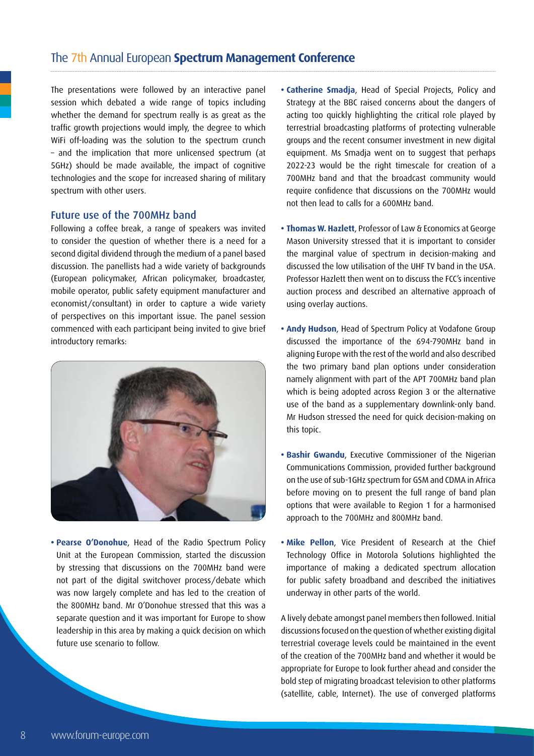The presentations were followed by an interactive panel session which debated a wide range of topics including whether the demand for spectrum really is as great as the traffic growth projections would imply, the degree to which WiFi off-loading was the solution to the spectrum crunch – and the implication that more unlicensed spectrum (at 5GHz) should be made available, the impact of cognitive technologies and the scope for increased sharing of military spectrum with other users.

#### Future use of the 700MHz band

Following a coffee break, a range of speakers was invited to consider the question of whether there is a need for a second digital dividend through the medium of a panel based discussion. The panellists had a wide variety of backgrounds (European policymaker, African policymaker, broadcaster, mobile operator, public safety equipment manufacturer and economist/consultant) in order to capture a wide variety of perspectives on this important issue. The panel session commenced with each participant being invited to give brief introductory remarks:



**• Pearse O'Donohue**, Head of the Radio Spectrum Policy Unit at the European Commission, started the discussion by stressing that discussions on the 700MHz band were not part of the digital switchover process/debate which was now largely complete and has led to the creation of the 800MHz band. Mr O'Donohue stressed that this was a separate question and it was important for Europe to show leadership in this area by making a quick decision on which future use scenario to follow.

- **Catherine Smadja**, Head of Special Projects, Policy and Strategy at the BBC raised concerns about the dangers of acting too quickly highlighting the critical role played by terrestrial broadcasting platforms of protecting vulnerable groups and the recent consumer investment in new digital equipment. Ms Smadja went on to suggest that perhaps 2022-23 would be the right timescale for creation of a 700MHz band and that the broadcast community would require confidence that discussions on the 700MHz would not then lead to calls for a 600MHz band.
- **Thomas W. Hazlett**, Professor of Law & Economics at George Mason University stressed that it is important to consider the marginal value of spectrum in decision-making and discussed the low utilisation of the UHF TV band in the USA. Professor Hazlett then went on to discuss the FCC's incentive auction process and described an alternative approach of using overlay auctions.
- **Andy Hudson**, Head of Spectrum Policy at Vodafone Group discussed the importance of the 694-790MHz band in aligning Europe with the rest of the world and also described the two primary band plan options under consideration namely alignment with part of the APT 700MHz band plan which is being adopted across Region 3 or the alternative use of the band as a supplementary downlink-only band. Mr Hudson stressed the need for quick decision-making on this topic.
- **Bashir Gwandu**, Executive Commissioner of the Nigerian Communications Commission, provided further background on the use of sub-1GHz spectrum for GSM and CDMA in Africa before moving on to present the full range of band plan options that were available to Region 1 for a harmonised approach to the 700MHz and 800MHz band.
- **Mike Pellon**, Vice President of Research at the Chief Technology Office in Motorola Solutions highlighted the importance of making a dedicated spectrum allocation for public safety broadband and described the initiatives underway in other parts of the world.

A lively debate amongst panel members then followed. Initial discussions focused on the question of whether existing digital terrestrial coverage levels could be maintained in the event of the creation of the 700MHz band and whether it would be appropriate for Europe to look further ahead and consider the bold step of migrating broadcast television to other platforms (satellite, cable, Internet). The use of converged platforms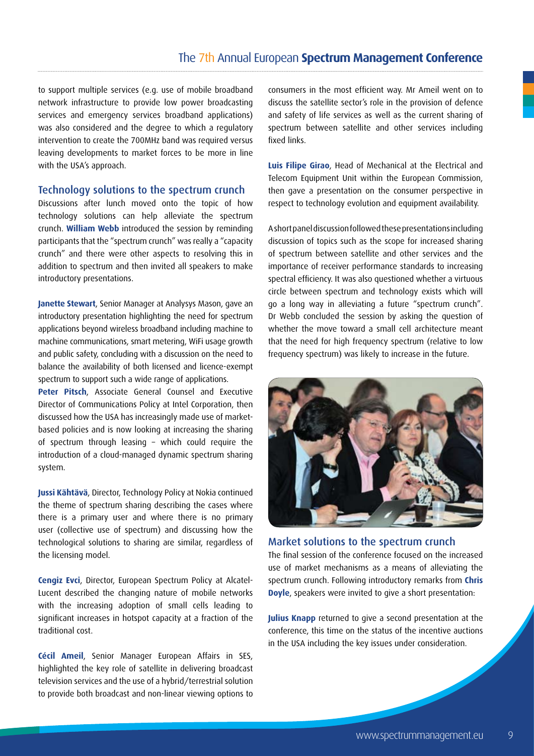to support multiple services (e.g. use of mobile broadband network infrastructure to provide low power broadcasting services and emergency services broadband applications) was also considered and the degree to which a regulatory intervention to create the 700MHz band was required versus leaving developments to market forces to be more in line with the USA's approach.

#### Technology solutions to the spectrum crunch

Discussions after lunch moved onto the topic of how technology solutions can help alleviate the spectrum crunch. **William Webb** introduced the session by reminding participants that the "spectrum crunch" was really a "capacity crunch" and there were other aspects to resolving this in addition to spectrum and then invited all speakers to make introductory presentations.

**Janette Stewart**, Senior Manager at Analysys Mason, gave an introductory presentation highlighting the need for spectrum applications beyond wireless broadband including machine to machine communications, smart metering, WiFi usage growth and public safety, concluding with a discussion on the need to balance the availability of both licensed and licence-exempt spectrum to support such a wide range of applications.

**Peter Pitsch**, Associate General Counsel and Executive Director of Communications Policy at Intel Corporation, then discussed how the USA has increasingly made use of marketbased policies and is now looking at increasing the sharing of spectrum through leasing – which could require the introduction of a cloud-managed dynamic spectrum sharing system.

**Jussi Kähtävä**, Director, Technology Policy at Nokia continued the theme of spectrum sharing describing the cases where there is a primary user and where there is no primary user (collective use of spectrum) and discussing how the technological solutions to sharing are similar, regardless of the licensing model.

**Cengiz Evci**, Director, European Spectrum Policy at Alcatel-Lucent described the changing nature of mobile networks with the increasing adoption of small cells leading to significant increases in hotspot capacity at a fraction of the traditional cost.

**Cécil Ameil**, Senior Manager European Affairs in SES, highlighted the key role of satellite in delivering broadcast television services and the use of a hybrid/terrestrial solution to provide both broadcast and non-linear viewing options to

consumers in the most efficient way. Mr Ameil went on to discuss the satellite sector's role in the provision of defence and safety of life services as well as the current sharing of spectrum between satellite and other services including fixed links.

**Luis Filipe Girao**, Head of Mechanical at the Electrical and Telecom Equipment Unit within the European Commission, then gave a presentation on the consumer perspective in respect to technology evolution and equipment availability.

A short panel discussion followed these presentations including discussion of topics such as the scope for increased sharing of spectrum between satellite and other services and the importance of receiver performance standards to increasing spectral efficiency. It was also questioned whether a virtuous circle between spectrum and technology exists which will go a long way in alleviating a future "spectrum crunch". Dr Webb concluded the session by asking the question of whether the move toward a small cell architecture meant that the need for high frequency spectrum (relative to low frequency spectrum) was likely to increase in the future.



#### Market solutions to the spectrum crunch

The final session of the conference focused on the increased use of market mechanisms as a means of alleviating the spectrum crunch. Following introductory remarks from **Chris Doyle**, speakers were invited to give a short presentation:

**Julius Knapp** returned to give a second presentation at the conference, this time on the status of the incentive auctions in the USA including the key issues under consideration.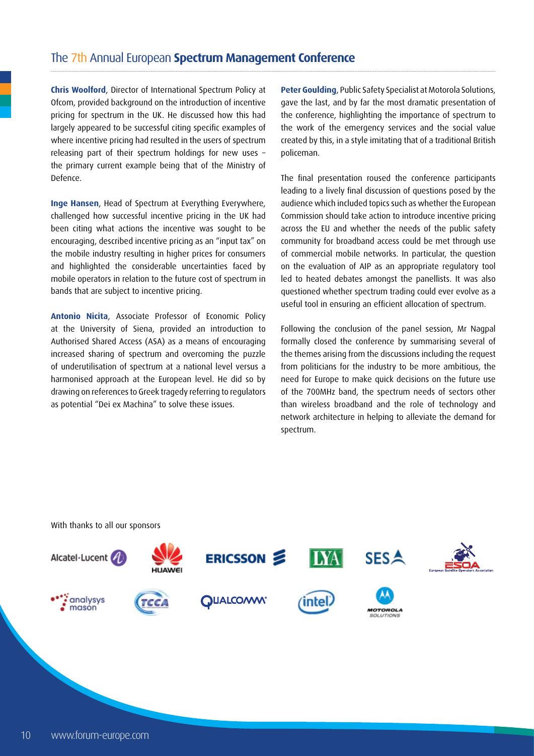**Chris Woolford**, Director of International Spectrum Policy at Ofcom, provided background on the introduction of incentive pricing for spectrum in the UK. He discussed how this had largely appeared to be successful citing specific examples of where incentive pricing had resulted in the users of spectrum releasing part of their spectrum holdings for new uses – the primary current example being that of the Ministry of Defence.

**Inge Hansen**, Head of Spectrum at Everything Everywhere, challenged how successful incentive pricing in the UK had been citing what actions the incentive was sought to be encouraging, described incentive pricing as an "input tax" on the mobile industry resulting in higher prices for consumers and highlighted the considerable uncertainties faced by mobile operators in relation to the future cost of spectrum in bands that are subject to incentive pricing.

**Antonio Nicita**, Associate Professor of Economic Policy at the University of Siena, provided an introduction to Authorised Shared Access (ASA) as a means of encouraging increased sharing of spectrum and overcoming the puzzle of underutilisation of spectrum at a national level versus a harmonised approach at the European level. He did so by drawing on references to Greek tragedy referring to regulators as potential "Dei ex Machina" to solve these issues.

**Peter Goulding**, Public Safety Specialist at Motorola Solutions, gave the last, and by far the most dramatic presentation of the conference, highlighting the importance of spectrum to the work of the emergency services and the social value created by this, in a style imitating that of a traditional British policeman.

The final presentation roused the conference participants leading to a lively final discussion of questions posed by the audience which included topics such as whether the European Commission should take action to introduce incentive pricing across the EU and whether the needs of the public safety community for broadband access could be met through use of commercial mobile networks. In particular, the question on the evaluation of AIP as an appropriate regulatory tool led to heated debates amongst the panellists. It was also questioned whether spectrum trading could ever evolve as a useful tool in ensuring an efficient allocation of spectrum.

Following the conclusion of the panel session, Mr Nagpal formally closed the conference by summarising several of the themes arising from the discussions including the request from politicians for the industry to be more ambitious, the need for Europe to make quick decisions on the future use of the 700MHz band, the spectrum needs of sectors other than wireless broadband and the role of technology and network architecture in helping to alleviate the demand for spectrum.